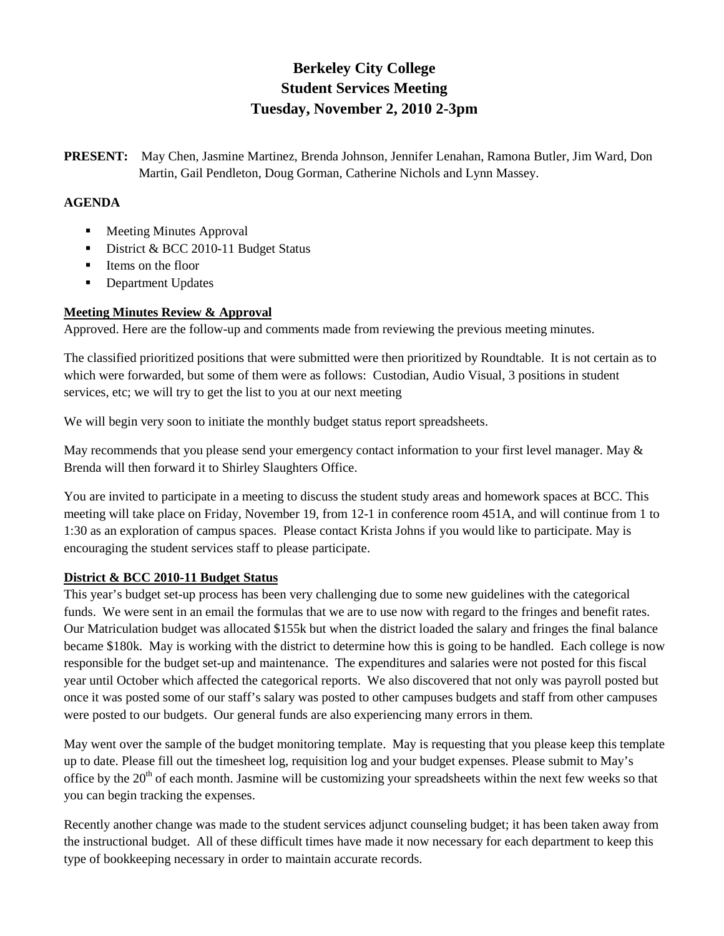# **Berkeley City College Student Services Meeting Tuesday, November 2, 2010 2-3pm**

**PRESENT:** May Chen, Jasmine Martinez, Brenda Johnson, Jennifer Lenahan, Ramona Butler, Jim Ward, Don Martin, Gail Pendleton, Doug Gorman, Catherine Nichols and Lynn Massey.

## **AGENDA**

- Meeting Minutes Approval
- District & BCC 2010-11 Budget Status
- **I** Items on the floor
- Department Updates

## **Meeting Minutes Review & Approval**

Approved. Here are the follow-up and comments made from reviewing the previous meeting minutes.

The classified prioritized positions that were submitted were then prioritized by Roundtable. It is not certain as to which were forwarded, but some of them were as follows: Custodian, Audio Visual, 3 positions in student services, etc; we will try to get the list to you at our next meeting

We will begin very soon to initiate the monthly budget status report spreadsheets.

May recommends that you please send your emergency contact information to your first level manager. May & Brenda will then forward it to Shirley Slaughters Office.

You are invited to participate in a meeting to discuss the student study areas and homework spaces at BCC. This meeting will take place on Friday, November 19, from 12-1 in conference room 451A, and will continue from 1 to 1:30 as an exploration of campus spaces. Please contact Krista Johns if you would like to participate. May is encouraging the student services staff to please participate.

#### **District & BCC 2010-11 Budget Status**

This year's budget set-up process has been very challenging due to some new guidelines with the categorical funds. We were sent in an email the formulas that we are to use now with regard to the fringes and benefit rates. Our Matriculation budget was allocated \$155k but when the district loaded the salary and fringes the final balance became \$180k. May is working with the district to determine how this is going to be handled. Each college is now responsible for the budget set-up and maintenance. The expenditures and salaries were not posted for this fiscal year until October which affected the categorical reports. We also discovered that not only was payroll posted but once it was posted some of our staff's salary was posted to other campuses budgets and staff from other campuses were posted to our budgets. Our general funds are also experiencing many errors in them.

May went over the sample of the budget monitoring template. May is requesting that you please keep this template up to date. Please fill out the timesheet log, requisition log and your budget expenses. Please submit to May's office by the  $20<sup>th</sup>$  of each month. Jasmine will be customizing your spreadsheets within the next few weeks so that you can begin tracking the expenses.

Recently another change was made to the student services adjunct counseling budget; it has been taken away from the instructional budget. All of these difficult times have made it now necessary for each department to keep this type of bookkeeping necessary in order to maintain accurate records.